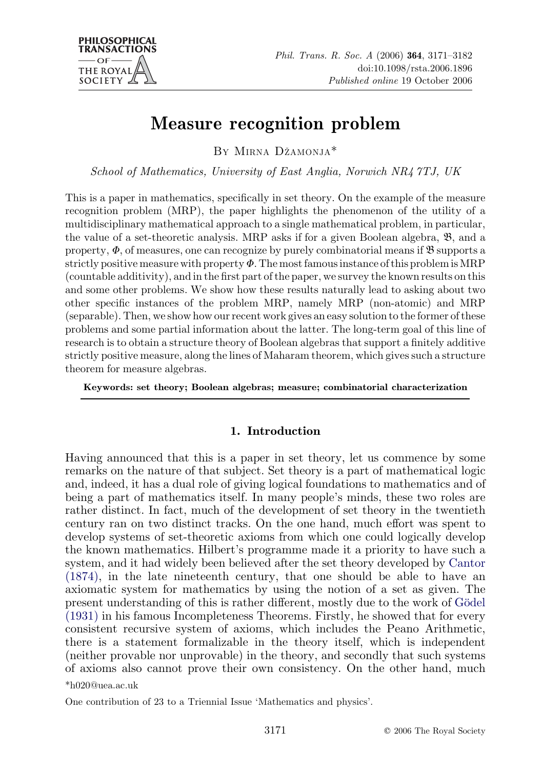

# Measure recognition problem

BY MIRNA DZˇAMONJA\*

School of Mathematics, University of East Anglia, Norwich NR4 7TJ, UK

This is a paper in mathematics, specifically in set theory. On the example of the measure recognition problem (MRP), the paper highlights the phenomenon of the utility of a multidisciplinary mathematical approach to a single mathematical problem, in particular, the value of a set-theoretic analysis. MRP asks if for a given Boolean algebra, B, and a property,  $\Phi$ , of measures, one can recognize by purely combinatorial means if  $\mathfrak{B}$  supports a strictly positive measure with property  $\Phi$ . The most famous instance of this problem is MRP (countable additivity), and in the first part of the paper, we survey the known results on this and some other problems. We show how these results naturally lead to asking about two other specific instances of the problem MRP, namely MRP (non-atomic) and MRP (separable). Then, we show how our recent work gives an easy solution to the former of these problems and some partial information about the latter. The long-term goal of this line of research is to obtain a structure theory of Boolean algebras that support a finitely additive strictly positive measure, along the lines of Maharam theorem, which gives such a structure theorem for measure algebras.

Keywords: set theory; Boolean algebras; measure; combinatorial characterization

## 1. Introduction

Having announced that this is a paper in set theory, let us commence by some remarks on the nature of that subject. Set theory is a part of mathematical logic and, indeed, it has a dual role of giving logical foundations to mathematics and of being a part of mathematics itself. In many people's minds, these two roles are rather distinct. In fact, much of the development of set theory in the twentieth century ran on two distinct tracks. On the one hand, much effort was spent to develop systems of set-theoretic axioms from which one could logically develop the known mathematics. Hilbert's programme made it a priority to have such a system, and it had widely been believed after the set theory developed by [Cantor](#page-10-0) [\(1874\),](#page-10-0) in the late nineteenth century, that one should be able to have an axiomatic system for mathematics by using the notion of a set as given. The present understanding of this is rather different, mostly due to the work of Godel [\(1931\)](#page-10-0) in his famous Incompleteness Theorems. Firstly, he showed that for every consistent recursive system of axioms, which includes the Peano Arithmetic, there is a statement formalizable in the theory itself, which is independent (neither provable nor unprovable) in the theory, and secondly that such systems of axioms also cannot prove their own consistency. On the other hand, much \*h020@uea.ac.uk

One contribution of 23 to a Triennial Issue 'Mathematics and physics'.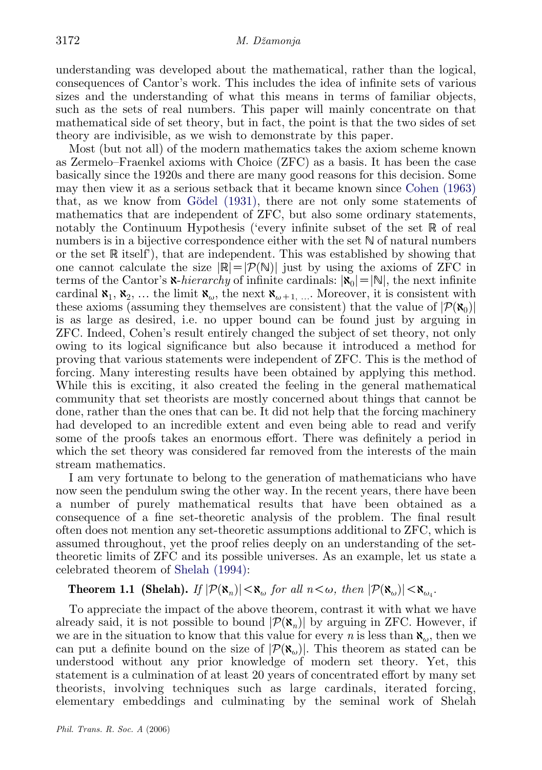understanding was developed about the mathematical, rather than the logical, consequences of Cantor's work. This includes the idea of infinite sets of various sizes and the understanding of what this means in terms of familiar objects, such as the sets of real numbers. This paper will mainly concentrate on that mathematical side of set theory, but in fact, the point is that the two sides of set theory are indivisible, as we wish to demonstrate by this paper.

Most (but not all) of the modern mathematics takes the axiom scheme known as Zermelo–Fraenkel axioms with Choice (ZFC) as a basis. It has been the case basically since the 1920s and there are many good reasons for this decision. Some may then view it as a serious setback that it became known since [Cohen \(1963\)](#page-10-0) that, as we know from Gödel (1931), there are not only some statements of mathematics that are independent of ZFC, but also some ordinary statements, notably the Continuum Hypothesis ('every infinite subset of the set R of real numbers is in a bijective correspondence either with the set N of natural numbers or the set R itself'), that are independent. This was established by showing that one cannot calculate the size  $\mathbb{R}=\mathcal{P}(\mathbb{N})$  just by using the axioms of ZFC in terms of the Cantor's  $\mathbf x$ -hierarchy of infinite cardinals:  $|\mathbf x_0|=|\mathbf N|$ , the next infinite cardinal  $\mathbf{x}_1, \mathbf{x}_2, \ldots$  the limit  $\mathbf{x}_{\omega}$ , the next  $\mathbf{x}_{\omega+1, \ldots}$ . Moreover, it is consistent with these axioms (assuming they themselves are consistent) that the value of  $|\mathcal{P}(\mathbf{x}_0)|$ is as large as desired, i.e. no upper bound can be found just by arguing in ZFC. Indeed, Cohen's result entirely changed the subject of set theory, not only owing to its logical significance but also because it introduced a method for proving that various statements were independent of ZFC. This is the method of forcing. Many interesting results have been obtained by applying this method. While this is exciting, it also created the feeling in the general mathematical community that set theorists are mostly concerned about things that cannot be done, rather than the ones that can be. It did not help that the forcing machinery had developed to an incredible extent and even being able to read and verify some of the proofs takes an enormous effort. There was definitely a period in which the set theory was considered far removed from the interests of the main stream mathematics.

I am very fortunate to belong to the generation of mathematicians who have now seen the pendulum swing the other way. In the recent years, there have been a number of purely mathematical results that have been obtained as a consequence of a fine set-theoretic analysis of the problem. The final result often does not mention any set-theoretic assumptions additional to ZFC, which is assumed throughout, yet the proof relies deeply on an understanding of the settheoretic limits of ZFC and its possible universes. As an example, let us state a celebrated theorem of [Shelah \(1994\):](#page-10-0)

**Theorem 1.1 (Shelah).** If  $|\mathcal{P}(\mathbf{x}_n)| < \mathbf{x}_{\omega}$  for all  $n < \omega$ , then  $|\mathcal{P}(\mathbf{x}_{\omega})| < \mathbf{x}_{\omega}$ .

To appreciate the impact of the above theorem, contrast it with what we have already said, it is not possible to bound  $\left|\mathcal{P}(\mathbf{x}_n)\right|$  by arguing in ZFC. However, if we are in the situation to know that this value for every *n* is less than  $\mathbf{x}_{\omega}$ , then we can put a definite bound on the size of  $\mathcal{P}(\mathbf{x}_{\omega})$ . This theorem as stated can be understood without any prior knowledge of modern set theory. Yet, this statement is a culmination of at least 20 years of concentrated effort by many set theorists, involving techniques such as large cardinals, iterated forcing, elementary embeddings and culminating by the seminal work of Shelah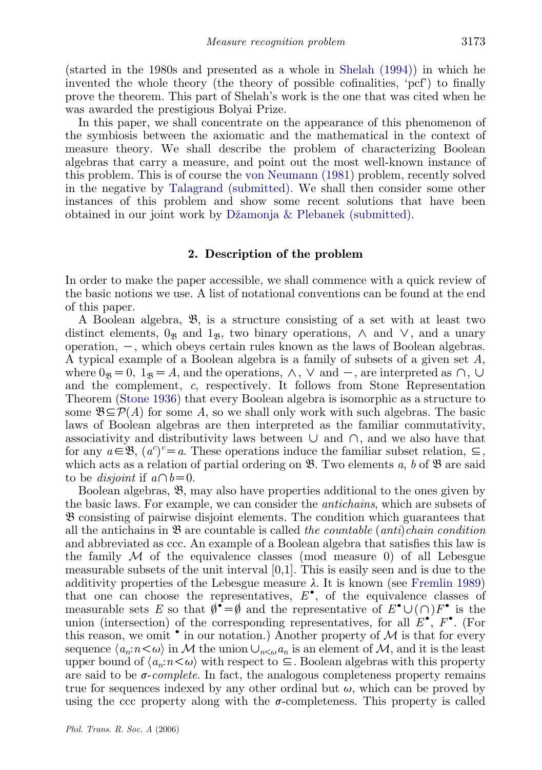(started in the 1980s and presented as a whole in [Shelah \(1994\)\)](#page-10-0) in which he invented the whole theory (the theory of possible cofinalities, 'pcf') to finally prove the theorem. This part of Shelah's work is the one that was cited when he was awarded the prestigious Bolyai Prize.

In this paper, we shall concentrate on the appearance of this phenomenon of the symbiosis between the axiomatic and the mathematical in the context of measure theory. We shall describe the problem of characterizing Boolean algebras that carry a measure, and point out the most well-known instance of this problem. This is of course the [von Neumann \(1981\)](#page-10-0) problem, recently solved in the negative by [Talagrand \(submitted\).](#page-10-0) We shall then consider some other instances of this problem and show some recent solutions that have been obtained in our joint work by Džamonja & Plebanek (submitted).

## 2. Description of the problem

In order to make the paper accessible, we shall commence with a quick review of the basic notions we use. A list of notational conventions can be found at the end of this paper.

A Boolean algebra, B, is a structure consisting of a set with at least two distinct elements,  $0_{\mathfrak{R}}$  and  $1_{\mathfrak{R}}$ , two binary operations,  $\wedge$  and  $\vee$ , and a unary operation,  $-$ , which obeys certain rules known as the laws of Boolean algebras. A typical example of a Boolean algebra is a family of subsets of a given set A, where  $0_{\mathfrak{B}}=0$ ,  $1_{\mathfrak{B}}=A$ , and the operations,  $\wedge$ ,  $\vee$  and  $-$ , are interpreted as  $\cap$ ,  $\cup$ and the complement, c, respectively. It follows from Stone Representation Theorem [\(Stone 1936\)](#page-10-0) that every Boolean algebra is isomorphic as a structure to some  $\mathfrak{B}\subseteq \mathcal{P}(A)$  for some A, so we shall only work with such algebras. The basic laws of Boolean algebras are then interpreted as the familiar commutativity, associativity and distributivity laws between  $\cup$  and  $\cap$ , and we also have that for any  $a \in \mathfrak{B}$ ,  $(a^c)^c = a$ . These operations induce the familiar subset relation,  $\subseteq$ , which acts as a relation of partial ordering on  $\mathfrak{B}$ . Two elements a, b of  $\mathfrak{B}$  are said to be *disjoint* if  $a \cap b = 0$ .

Boolean algebras, B, may also have properties additional to the ones given by the basic laws. For example, we can consider the antichains, which are subsets of B consisting of pairwise disjoint elements. The condition which guarantees that all the antichains in  $\mathfrak{B}$  are countable is called the *countable* (*anti*)*chain condition* and abbreviated as ccc. An example of a Boolean algebra that satisfies this law is the family  $\mathcal M$  of the equivalence classes (mod measure 0) of all Lebesgue measurable subsets of the unit interval  $[0,1]$ . This is easily seen and is due to the additivity properties of the Lebesgue measure  $\lambda$ . It is known (see [Fremlin 1989\)](#page-10-0) that one can choose the representatives,  $E^{\bullet}$ , of the equivalence classes of measurable sets E so that  $\emptyset^{\bullet} = \emptyset$  and the representative of  $E^{\bullet} \cup (\cap)F^{\bullet}$  is the union (intersection) of the corresponding representatives, for all  $E^{\bullet}$ ,  $F^{\bullet}$ . (For this reason, we omit  $\bullet$  in our notation.) Another property of  $\mathcal M$  is that for every sequence  $\langle a_n : n \langle \omega \rangle$  in M the union  $\cup_{n \leq \omega} a_n$  is an element of M, and it is the least upper bound of  $\langle a_n:n\leq\omega\rangle$  with respect to  $\subseteq$ . Boolean algebras with this property are said to be  $\sigma$ -complete. In fact, the analogous completeness property remains true for sequences indexed by any other ordinal but  $\omega$ , which can be proved by using the ccc property along with the  $\sigma$ -completeness. This property is called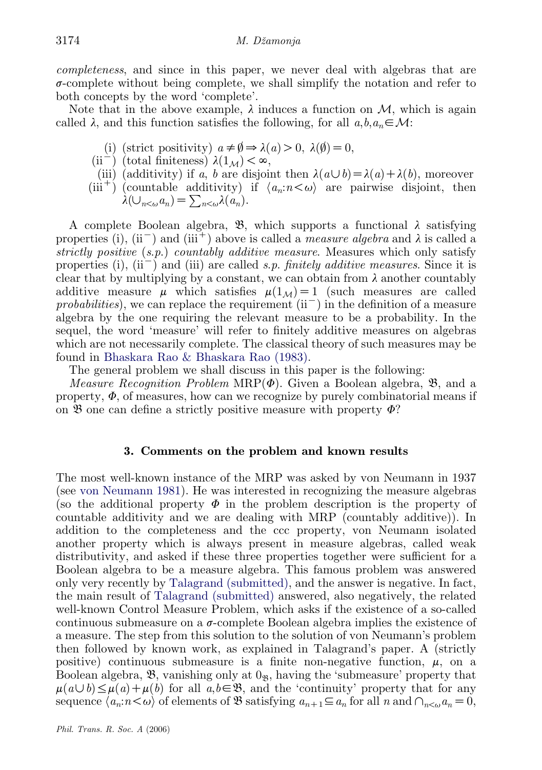completeness, and since in this paper, we never deal with algebras that are  $\sigma$ -complete without being complete, we shall simplify the notation and refer to both concepts by the word 'complete'.

Note that in the above example,  $\lambda$  induces a function on  $\mathcal{M}$ , which is again called  $\lambda$ , and this function satisfies the following, for all  $a, b, a_n \in \mathcal{M}$ :

- (i) (strict positivity)  $a \neq \emptyset \Rightarrow \lambda(a) > 0, \lambda(\emptyset) = 0$ ,
- (ii<sup>-</sup>) (total finiteness)  $\lambda(1_M) < \infty$ ,
- (iii) (additivity) if a, b are disjoint then  $\lambda(a\cup b)=\lambda(a)+\lambda(b)$ , moreover
- (iii<sup>+</sup>) (countable additivity) if  $\langle a_n : n \langle \omega \rangle$  are pairwise disjoint, then  $\lambda(\bigcup_{n\leq\omega}a_n)=\sum_{n\leq\omega}\lambda(a_n).$

A complete Boolean algebra,  $\mathfrak{B}$ , which supports a functional  $\lambda$  satisfying properties (i), (ii<sup>-</sup>) and (iii<sup>+</sup>) above is called a *measure algebra* and  $\lambda$  is called a strictly positive (s.p.) countably additive measure. Measures which only satisfy properties (i),  $(ii^{-})$  and (iii) are called s.p. finitely additive measures. Since it is clear that by multiplying by a constant, we can obtain from  $\lambda$  another countably additive measure  $\mu$  which satisfies  $\mu(1_{\mathcal{M}})=1$  (such measures are called probabilities), we can replace the requirement  $(ii^-)$  in the definition of a measure algebra by the one requiring the relevant measure to be a probability. In the sequel, the word 'measure' will refer to finitely additive measures on algebras which are not necessarily complete. The classical theory of such measures may be found in [Bhaskara Rao & Bhaskara Rao \(1983\)](#page-10-0).

The general problem we shall discuss in this paper is the following:

*Measure Recognition Problem MRP(* $\Phi$ *).* Given a Boolean algebra,  $\mathfrak{B}$ , and a property,  $\Phi$ , of measures, how can we recognize by purely combinatorial means if on  $\mathfrak B$  one can define a strictly positive measure with property  $\Phi$ ?

## 3. Comments on the problem and known results

The most well-known instance of the MRP was asked by von Neumann in 1937 (see [von Neumann 1981\)](#page-10-0). He was interested in recognizing the measure algebras (so the additional property  $\Phi$  in the problem description is the property of countable additivity and we are dealing with MRP (countably additive)). In addition to the completeness and the ccc property, von Neumann isolated another property which is always present in measure algebras, called weak distributivity, and asked if these three properties together were sufficient for a Boolean algebra to be a measure algebra. This famous problem was answered only very recently by [Talagrand \(submitted\),](#page-10-0) and the answer is negative. In fact, the main result of [Talagrand \(submitted\)](#page-10-0) answered, also negatively, the related well-known Control Measure Problem, which asks if the existence of a so-called continuous submeasure on a  $\sigma$ -complete Boolean algebra implies the existence of a measure. The step from this solution to the solution of von Neumann's problem then followed by known work, as explained in Talagrand's paper. A (strictly positive) continuous submeasure is a finite non-negative function,  $\mu$ , on a Boolean algebra,  $\mathfrak{B}$ , vanishing only at  $0_{\mathfrak{B}}$ , having the 'submeasure' property that  $\mu(a\cup b) \leq \mu(a)+\mu(b)$  for all  $a,b\in\mathfrak{B}$ , and the 'continuity' property that for any sequence  $\langle a_n : n \langle \omega \rangle$  of elements of B satisfying  $a_{n+1} \subseteq a_n$  for all n and  $\bigcap_{n \leq \omega} a_n = 0$ ,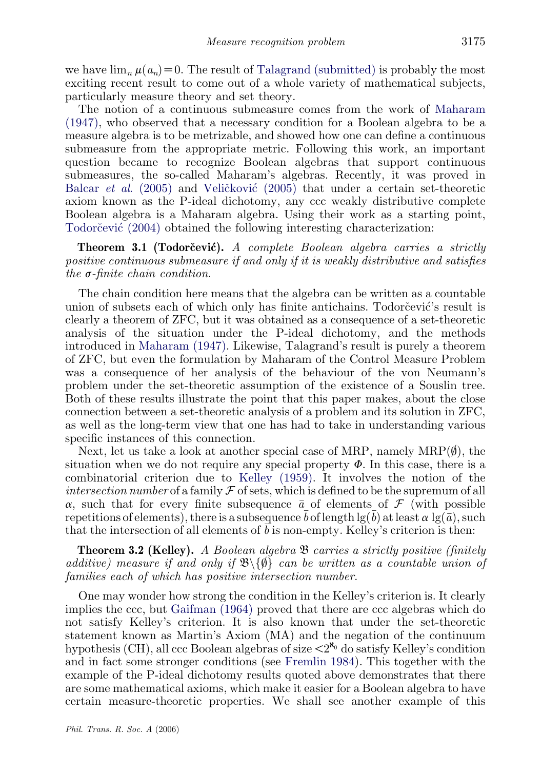we have  $\lim_{n} \mu(a_n) = 0$ . The result of [Talagrand \(submitted\)](#page-10-0) is probably the most exciting recent result to come out of a whole variety of mathematical subjects, particularly measure theory and set theory.

The notion of a continuous submeasure comes from the work of [Maharam](#page-10-0) [\(1947\),](#page-10-0) who observed that a necessary condition for a Boolean algebra to be a measure algebra is to be metrizable, and showed how one can define a continuous submeasure from the appropriate metric. Following this work, an important question became to recognize Boolean algebras that support continuous submeasures, the so-called Maharam's algebras. Recently, it was proved in Balcar *et al.* (2005) and Velic<sup>\*</sup>kovic<sup> $(2005)$ </sup> that under a certain set-theoretic axiom known as the P-ideal dichotomy, any ccc weakly distributive complete Boolean algebra is a Maharam algebra. Using their work as a starting point, Todorc̆evic $(2004)$  obtained the following interesting characterization:

**Theorem 3.1 (Todorčević).** A complete Boolean algebra carries a strictly positive continuous submeasure if and only if it is weakly distributive and satisfies the  $\sigma$ -finite chain condition.

The chain condition here means that the algebra can be written as a countable union of subsets each of which only has finite antichains. Todorcevic's result is clearly a theorem of ZFC, but it was obtained as a consequence of a set-theoretic analysis of the situation under the P-ideal dichotomy, and the methods introduced in [Maharam \(1947\).](#page-10-0) Likewise, Talagrand's result is purely a theorem of ZFC, but even the formulation by Maharam of the Control Measure Problem was a consequence of her analysis of the behaviour of the von Neumann's problem under the set-theoretic assumption of the existence of a Souslin tree. Both of these results illustrate the point that this paper makes, about the close connection between a set-theoretic analysis of a problem and its solution in ZFC, as well as the long-term view that one has had to take in understanding various specific instances of this connection.

Next, let us take a look at another special case of MRP, namely  $MRP(\emptyset)$ , the situation when we do not require any special property  $\Phi$ . In this case, there is a combinatorial criterion due to [Kelley \(1959\)](#page-10-0). It involves the notion of the intersection number of a family  $\mathcal F$  of sets, which is defined to be the supremum of all  $\alpha$ , such that for every finite subsequence  $\bar{a}$  of elements of  $\mathcal F$  (with possible repetitions of elements), there is a subsequence  $\bar{b}$  of length  $\lg(\bar{b})$  at least  $\alpha \lg(\bar{a})$ , such that the intersection of all elements of  $b$  is non-empty. Kelley's criterion is then:

**Theorem 3.2 (Kelley).** A Boolean algebra  $\mathfrak{B}$  carries a strictly positive (finitely additive) measure if and only if  $\mathcal{B}\backslash\{\emptyset\}$  can be written as a countable union of families each of which has positive intersection number.

One may wonder how strong the condition in the Kelley's criterion is. It clearly implies the ccc, but [Gaifman \(1964\)](#page-10-0) proved that there are ccc algebras which do not satisfy Kelley's criterion. It is also known that under the set-theoretic statement known as Martin's Axiom (MA) and the negation of the continuum hypothesis (CH), all ccc Boolean algebras of size  $\langle 2^{\aleph_0}$  do satisfy Kelley's condition and in fact some stronger conditions (see [Fremlin 1984\)](#page-10-0). This together with the example of the P-ideal dichotomy results quoted above demonstrates that there are some mathematical axioms, which make it easier for a Boolean algebra to have certain measure-theoretic properties. We shall see another example of this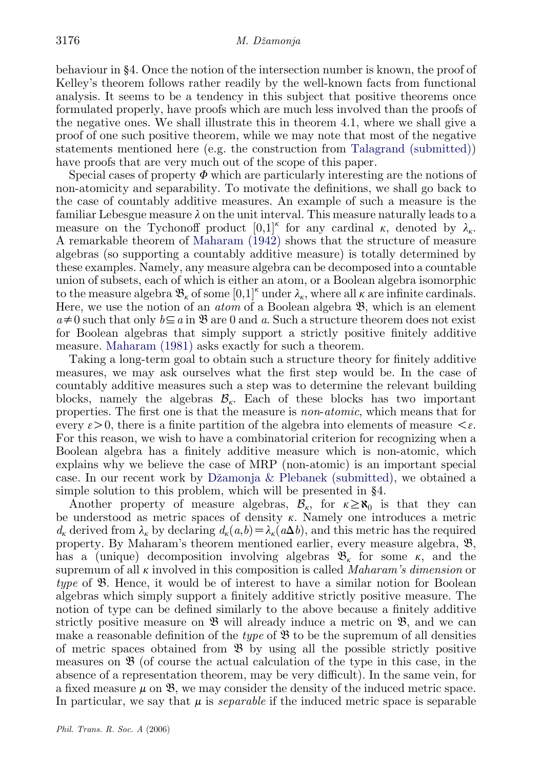behaviour in §4. Once the notion of the intersection number is known, the proof of Kelley's theorem follows rather readily by the well-known facts from functional analysis. It seems to be a tendency in this subject that positive theorems once formulated properly, have proofs which are much less involved than the proofs of the negative ones. We shall illustrate this in theorem 4.1, where we shall give a proof of one such positive theorem, while we may note that most of the negative statements mentioned here (e.g. the construction from [Talagrand \(submitted\)](#page-10-0)) have proofs that are very much out of the scope of this paper.

Special cases of property  $\Phi$  which are particularly interesting are the notions of non-atomicity and separability. To motivate the definitions, we shall go back to the case of countably additive measures. An example of such a measure is the familiar Lebesgue measure  $\lambda$  on the unit interval. This measure naturally leads to a measure on the Tychonoff product  $[0,1]^k$  for any cardinal k, denoted by  $\lambda_k$ . A remarkable theorem of [Maharam \(1942\)](#page-10-0) shows that the structure of measure algebras (so supporting a countably additive measure) is totally determined by these examples. Namely, any measure algebra can be decomposed into a countable union of subsets, each of which is either an atom, or a Boolean algebra isomorphic to the measure algebra  $\mathfrak{B}_{k}$  of some  $[0,1]^k$  under  $\lambda_{k}$ , where all  $\kappa$  are infinite cardinals. Here, we use the notion of an *atom* of a Boolean algebra  $\mathfrak{B}$ , which is an element  $a\neq0$  such that only  $b\subseteq a$  in  $\mathfrak{B}$  are 0 and a. Such a structure theorem does not exist for Boolean algebras that simply support a strictly positive finitely additive measure. [Maharam \(1981\)](#page-10-0) asks exactly for such a theorem.

Taking a long-term goal to obtain such a structure theory for finitely additive measures, we may ask ourselves what the first step would be. In the case of countably additive measures such a step was to determine the relevant building blocks, namely the algebras  $\mathcal{B}_{k}$ . Each of these blocks has two important properties. The first one is that the measure is non-atomic, which means that for every  $\varepsilon > 0$ , there is a finite partition of the algebra into elements of measure  $\leq \varepsilon$ . For this reason, we wish to have a combinatorial criterion for recognizing when a Boolean algebra has a finitely additive measure which is non-atomic, which explains why we believe the case of MRP (non-atomic) is an important special case. In our recent work by Džamonja  $&$  Plebanek (submitted), we obtained a simple solution to this problem, which will be presented in §4.

Another property of measure algebras,  $\mathcal{B}_{\kappa}$ , for  $\kappa \geq \aleph_0$  is that they can be understood as metric spaces of density  $\kappa$ . Namely one introduces a metric  $d_k$  derived from  $\lambda_k$  by declaring  $d_k(a,b)=\lambda_k(a\Delta b)$ , and this metric has the required property. By Maharam's theorem mentioned earlier, every measure algebra, B, has a (unique) decomposition involving algebras  $\mathfrak{B}_{k}$  for some  $\kappa$ , and the supremum of all  $\kappa$  involved in this composition is called *Maharam's dimension* or type of B. Hence, it would be of interest to have a similar notion for Boolean algebras which simply support a finitely additive strictly positive measure. The notion of type can be defined similarly to the above because a finitely additive strictly positive measure on  $\mathfrak{B}$  will already induce a metric on  $\mathfrak{B}$ , and we can make a reasonable definition of the type of  $\mathfrak B$  to be the supremum of all densities of metric spaces obtained from B by using all the possible strictly positive measures on  $\mathfrak{B}$  (of course the actual calculation of the type in this case, in the absence of a representation theorem, may be very difficult). In the same vein, for a fixed measure  $\mu$  on  $\mathfrak{B}$ , we may consider the density of the induced metric space. In particular, we say that  $\mu$  is *separable* if the induced metric space is separable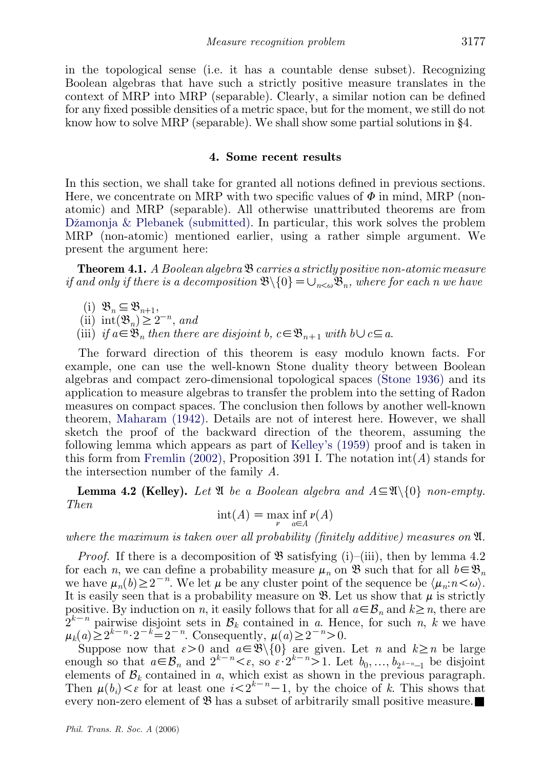in the topological sense (i.e. it has a countable dense subset). Recognizing Boolean algebras that have such a strictly positive measure translates in the context of MRP into MRP (separable). Clearly, a similar notion can be defined for any fixed possible densities of a metric space, but for the moment, we still do not know how to solve MRP (separable). We shall show some partial solutions in §4.

## 4. Some recent results

In this section, we shall take for granted all notions defined in previous sections. Here, we concentrate on MRP with two specific values of  $\Phi$  in mind, MRP (nonatomic) and MRP (separable). All otherwise unattributed theorems are from Džamonja  $\&$  Plebanek (submitted). In particular, this work solves the problem MRP (non-atomic) mentioned earlier, using a rather simple argument. We present the argument here:

**Theorem 4.1.** A Boolean algebra  $\mathfrak{B}$  carries a strictly positive non-atomic measure if and only if there is a decomposition  $\mathfrak{B}\setminus\{0\}=\bigcup_{n<\omega}\mathfrak{B}_n$ , where for each n we have

- (i)  $\mathfrak{B}_n \subseteq \mathfrak{B}_{n+1}$ ,
- (ii) int $(\mathfrak{B}_n) \geq 2^{-n}$ , and
- (iii) if  $a\in\mathfrak{B}_n$  then there are disjoint b,  $c\in\mathfrak{B}_{n+1}$  with  $b\cup c\subseteq a$ .

The forward direction of this theorem is easy modulo known facts. For example, one can use the well-known Stone duality theory between Boolean algebras and compact zero-dimensional topological spaces [\(Stone 1936\)](#page-10-0) and its application to measure algebras to transfer the problem into the setting of Radon measures on compact spaces. The conclusion then follows by another well-known theorem, [Maharam \(1942\).](#page-10-0) Details are not of interest here. However, we shall sketch the proof of the backward direction of the theorem, assuming the following lemma which appears as part of [Kelley's \(1959\)](#page-10-0) proof and is taken in this form from [Fremlin \(2002\)](#page-10-0), Proposition 391 I. The notation  $int(A)$  stands for the intersection number of the family A.

**Lemma 4.2 (Kelley).** Let  $\mathfrak{A}$  be a Boolean algebra and  $A \subseteq \mathfrak{A}\setminus\{0\}$  non-empty. Then

$$
\mathrm{int}(A) = \max_{\nu} \inf_{a \in A} \nu(A)
$$

where the maximum is taken over all probability (finitely additive) measures on  $\mathfrak{A}$ .

*Proof.* If there is a decomposition of  $\mathfrak{B}$  satisfying (i)–(iii), then by lemma 4.2 for each n, we can define a probability measure  $\mu_n$  on  $\mathfrak{B}$  such that for all  $b \in \mathfrak{B}_n$ we have  $\mu_n(b) \geq 2^{-n}$ . We let  $\mu$  be any cluster point of the sequence be  $\langle \mu_n: n \leq \omega \rangle$ . It is easily seen that is a probability measure on  $\mathfrak{B}$ . Let us show that  $\mu$  is strictly positive. By induction on n, it easily follows that for all  $a \in \mathcal{B}_n$  and  $k \geq n$ , there are  $2^{k-n}$  pairwise disjoint sets in  $\mathcal{B}_k$  contained in a. Hence, for such  $n, k$  we have  $\mu_k(a) \geq 2^{k-n} \cdot 2^{-k} = 2^{-n}$ . Consequently,  $\mu(a) \geq 2^{-n} > 0$ .

Suppose now that  $\varepsilon > 0$  and  $a \in \mathfrak{B}\backslash\{0\}$  are given. Let n and  $k \geq n$  be large enough so that  $a \in \mathcal{B}_n$  and  $2^{k-n} \leq \varepsilon$ , so  $\varepsilon \cdot 2^{k-n} \geq 1$ . Let  $b_0, \ldots, b_{2^{k-n}-1}$  be disjoint elements of  $\mathcal{B}_k$  contained in a, which exist as shown in the previous paragraph. Then  $\mu(b_i) < \varepsilon$  for at least one  $i < 2^{k-n}-1$ , by the choice of k. This shows that every non-zero element of B has a subset of arbitrarily small positive measure.*&*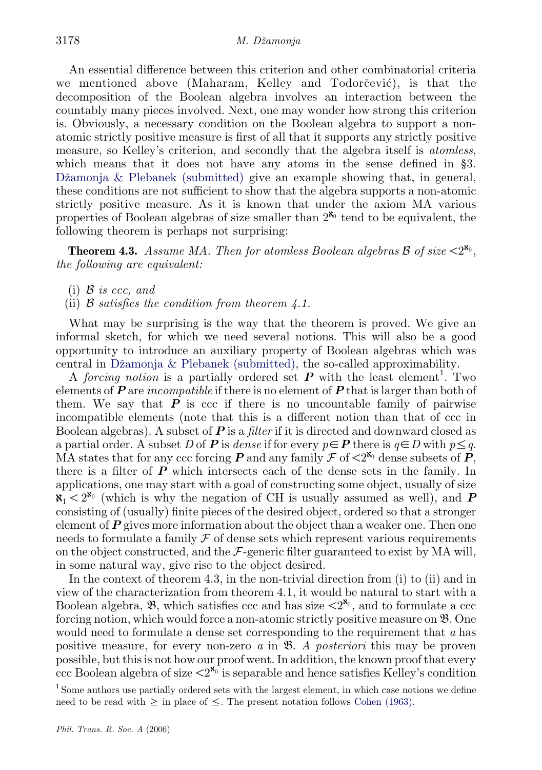An essential difference between this criterion and other combinatorial criteria we mentioned above (Maharam, Kelley and Todorc̆evic´), is that the decomposition of the Boolean algebra involves an interaction between the countably many pieces involved. Next, one may wonder how strong this criterion is. Obviously, a necessary condition on the Boolean algebra to support a nonatomic strictly positive measure is first of all that it supports any strictly positive measure, so Kelley's criterion, and secondly that the algebra itself is *atomless*, which means that it does not have any atoms in the sense defined in §3. Džamonja  $\&$  Plebanek (submitted) give an example showing that, in general, these conditions are not sufficient to show that the algebra supports a non-atomic strictly positive measure. As it is known that under the axiom MA various properties of Boolean algebras of size smaller than  $2^{\aleph_0}$  tend to be equivalent, the following theorem is perhaps not surprising:

**Theorem 4.3.** Assume MA. Then for atomless Boolean algebras  $\beta$  of size  $\leq 2^{\aleph_0}$ . the following are equivalent:

- (i)  $\beta$  is ccc, and
- (ii)  $\beta$  satisfies the condition from theorem 4.1.

What may be surprising is the way that the theorem is proved. We give an informal sketch, for which we need several notions. This will also be a good opportunity to introduce an auxiliary property of Boolean algebras which was central in Džamonja  $&$  Plebanek (submitted), the so-called approximability.

A forcing notion is a partially ordered set  $P$  with the least element<sup>1</sup>. Two elements of  $P$  are incompatible if there is no element of  $P$  that is larger than both of them. We say that  $P$  is ccc if there is no uncountable family of pairwise incompatible elements (note that this is a different notion than that of ccc in Boolean algebras). A subset of  $P$  is a filter if it is directed and downward closed as a partial order. A subset D of P is dense if for every  $p\in P$  there is  $q\in D$  with  $p\leq q$ . MA states that for any ccc forcing **P** and any family  $\mathcal{F}$  of  $\langle 2^{x_0}$  dense subsets of **P**, there is a filter of  $P$  which intersects each of the dense sets in the family. In applications, one may start with a goal of constructing some object, usually of size  $\mathbf{x}_1 \leq 2^{\mathbf{x}_0}$  (which is why the negation of CH is usually assumed as well), and P consisting of (usually) finite pieces of the desired object, ordered so that a stronger element of  $P$  gives more information about the object than a weaker one. Then one needs to formulate a family  $\mathcal F$  of dense sets which represent various requirements on the object constructed, and the  $\mathcal{F}\text{-}\text{generic filter guaranteed to exist by MA will},$ in some natural way, give rise to the object desired.

In the context of theorem 4.3, in the non-trivial direction from (i) to (ii) and in view of the characterization from theorem 4.1, it would be natural to start with a Boolean algebra,  $\mathfrak{B}$ , which satisfies ccc and has size  $\langle 2^{\aleph_0} \rangle$ , and to formulate a ccc forcing notion, which would force a non-atomic strictly positive measure on B. One would need to formulate a dense set corresponding to the requirement that a has positive measure, for every non-zero a in B. A posteriori this may be proven possible, but this is not how our proof went. In addition, the known proof that every ccc Boolean algebra of size  $\langle 2^{\aleph_0} \rangle$  is separable and hence satisfies Kelley's condition

<sup>1</sup> Some authors use partially ordered sets with the largest element, in which case notions we define need to be read with  $\geq$  in place of  $\leq$ . The present notation follows [Cohen \(1963\)](#page-10-0).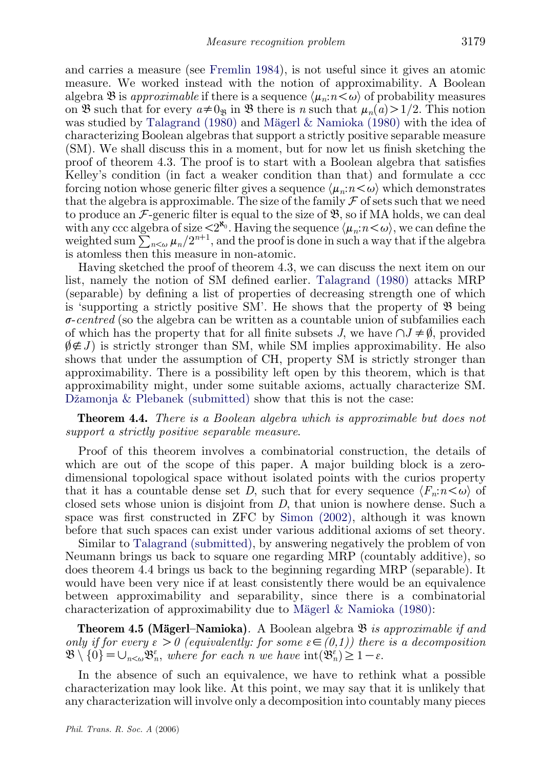and carries a measure (see [Fremlin 1984](#page-10-0)), is not useful since it gives an atomic measure. We worked instead with the notion of approximability. A Boolean algebra  $\mathfrak B$  is approximable if there is a sequence  $\langle \mu_n : n \langle \omega \rangle$  of probability measures on B such that for every  $a\neq0$ <sub>B</sub> in B there is n such that  $\mu_n(a)>1/2$ . This notion was studied by [Talagrand \(1980\)](#page-10-0) and Mägerl  $\&$  Namioka (1980) with the idea of characterizing Boolean algebras that support a strictly positive separable measure (SM). We shall discuss this in a moment, but for now let us finish sketching the proof of theorem 4.3. The proof is to start with a Boolean algebra that satisfies Kelley's condition (in fact a weaker condition than that) and formulate a ccc forcing notion whose generic filter gives a sequence  $\langle \mu_n : n \leq \omega \rangle$  which demonstrates that the algebra is approximable. The size of the family  $\mathcal F$  of sets such that we need to produce an  $\mathcal{F}\text{-generic filter}$  is equal to the size of  $\mathcal{B}\text{, so if MA holds, we can deal}$ with any ccc algebra of size  $\langle 2^{x_0}$ . Having the sequence  $\langle \mu_n : n \langle \omega \rangle$ , we can define the with any ecc algebra of size  $\langle 2 \rangle$ . Having the sequence  $\langle \mu_n \rangle$ ,  $\langle \nu_n \rangle$ , we can define the weighted sum  $\sum_{n<\omega} \mu_n/2^{n+1}$ , and the proof is done in such a way that if the algebra is atomless then this measure in non-atomic.

Having sketched the proof of theorem 4.3, we can discuss the next item on our list, namely the notion of SM defined earlier. [Talagrand \(1980\)](#page-10-0) attacks MRP (separable) by defining a list of properties of decreasing strength one of which is 'supporting a strictly positive SM'. He shows that the property of  $\mathfrak B$  being  $\sigma$ -centred (so the algebra can be written as a countable union of subfamilies each of which has the property that for all finite subsets J, we have  $\bigcap J \neq \emptyset$ , provided  $\emptyset \notin J$  is strictly stronger than SM, while SM implies approximability. He also shows that under the assumption of CH, property SM is strictly stronger than approximability. There is a possibility left open by this theorem, which is that approximability might, under some suitable axioms, actually characterize SM. Džamonja  $&$  Plebanek (submitted) show that this is not the case:

**Theorem 4.4.** There is a Boolean algebra which is approximable but does not support a strictly positive separable measure.

Proof of this theorem involves a combinatorial construction, the details of which are out of the scope of this paper. A major building block is a zerodimensional topological space without isolated points with the curios property that it has a countable dense set D, such that for every sequence  $\langle F_n: n \langle \omega \rangle$  of closed sets whose union is disjoint from D, that union is nowhere dense. Such a space was first constructed in ZFC by [Simon \(2002\)](#page-10-0), although it was known before that such spaces can exist under various additional axioms of set theory.

Similar to [Talagrand \(submitted\),](#page-10-0) by answering negatively the problem of von Neumann brings us back to square one regarding MRP (countably additive), so does theorem 4.4 brings us back to the beginning regarding MRP (separable). It would have been very nice if at least consistently there would be an equivalence between approximability and separability, since there is a combinatorial characterization of approximability due to Mägerl & Namioka  $(1980)$ :

**Theorem 4.5 (Mägerl–Namioka).** A Boolean algebra  $\mathfrak{B}$  is approximable if and only if for every  $\varepsilon > 0$  (equivalently: for some  $\varepsilon \in (0,1)$ ) there is a decomposition  $\mathfrak{B}\setminus\{0\}=\cup_{n<\omega}\mathfrak{B}_n^{\varepsilon}$ , where for each n we have  $\mathrm{int}(\mathfrak{B}_n^{\varepsilon})\geq 1-\varepsilon$ .

In the absence of such an equivalence, we have to rethink what a possible characterization may look like. At this point, we may say that it is unlikely that any characterization will involve only a decomposition into countably many pieces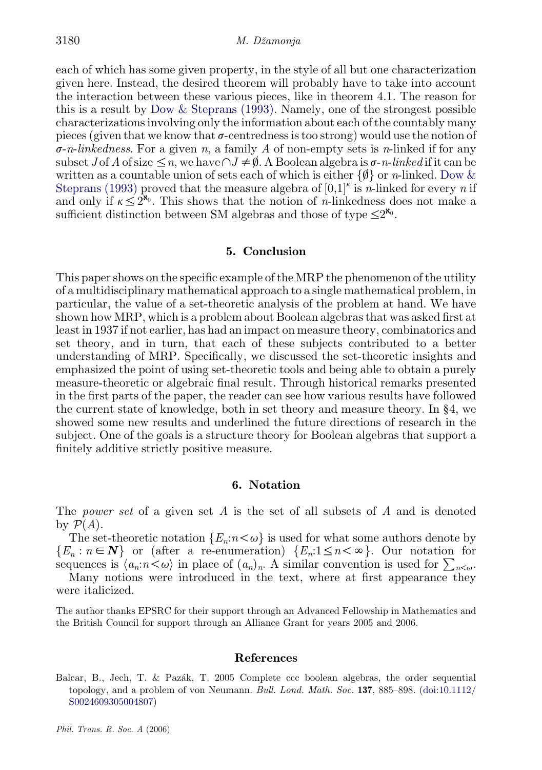<span id="page-9-0"></span>each of which has some given property, in the style of all but one characterization given here. Instead, the desired theorem will probably have to take into account the interaction between these various pieces, like in theorem 4.1. The reason for this is a result by [Dow & Steprans \(1993\)](#page-10-0). Namely, one of the strongest possible characterizations involving only the information about each of the countably many pieces (given that we know that  $\sigma$ -centredness is too strong) would use the notion of  $\sigma$ -n-linkedness. For a given n, a family A of non-empty sets is n-linked if for any subset J of A of size  $\leq n$ , we have  $\cap J \neq \emptyset$ . A Boolean algebra is  $\sigma$ -n-linked if it can be written as a countable union of sets each of which is either  $\{\emptyset\}$  or n-linked. [Dow &](#page-10-0) [Steprans \(1993\)](#page-10-0) proved that the measure algebra of  $[0,1]^k$  is *n*-linked for every *n* if and only if  $\kappa \leq 2^{\aleph_0}$ . This shows that the notion of *n*-linkedness does not make a sufficient distinction between SM algebras and those of type  $\leq 2^{\aleph_0}$ .

## 5. Conclusion

This paper shows on the specific example of the MRP the phenomenon of the utility of a multidisciplinary mathematical approach to a single mathematical problem, in particular, the value of a set-theoretic analysis of the problem at hand. We have shown how MRP, which is a problem about Boolean algebras that was asked first at least in 1937 if not earlier, has had an impact on measure theory, combinatorics and set theory, and in turn, that each of these subjects contributed to a better understanding of MRP. Specifically, we discussed the set-theoretic insights and emphasized the point of using set-theoretic tools and being able to obtain a purely measure-theoretic or algebraic final result. Through historical remarks presented in the first parts of the paper, the reader can see how various results have followed the current state of knowledge, both in set theory and measure theory. In §4, we showed some new results and underlined the future directions of research in the subject. One of the goals is a structure theory for Boolean algebras that support a finitely additive strictly positive measure.

### 6. Notation

The *power set* of a given set A is the set of all subsets of A and is denoted by  $\mathcal{P}(A)$ .

The set-theoretic notation  $\{E_n: n \lt \omega\}$  is used for what some authors denote by  ${E_n : n \in \mathbb{N}}$  or (after a re-enumeration)  ${E_n : 1 \le n < \infty}$ . Our notation for sequences is  $\langle a_n:n\lt \omega\rangle$  in place of  $(a_n)_n$ . A similar convention is used for  $\sum_{n\lt \omega}$ .

Many notions were introduced in the text, where at first appearance they were italicized.

The author thanks EPSRC for their support through an Advanced Fellowship in Mathematics and the British Council for support through an Alliance Grant for years 2005 and 2006.

#### References

Balcar, B., Jech, T. & Paza´k, T. 2005 Complete ccc boolean algebras, the order sequential topology, and a problem of von Neumann. Bull. Lond. Math. Soc. 137, 885–898. ([doi:10.1112/](http://dx.doi.org/doi:10.1112/S0024609305004807) [S0024609305004807](http://dx.doi.org/doi:10.1112/S0024609305004807))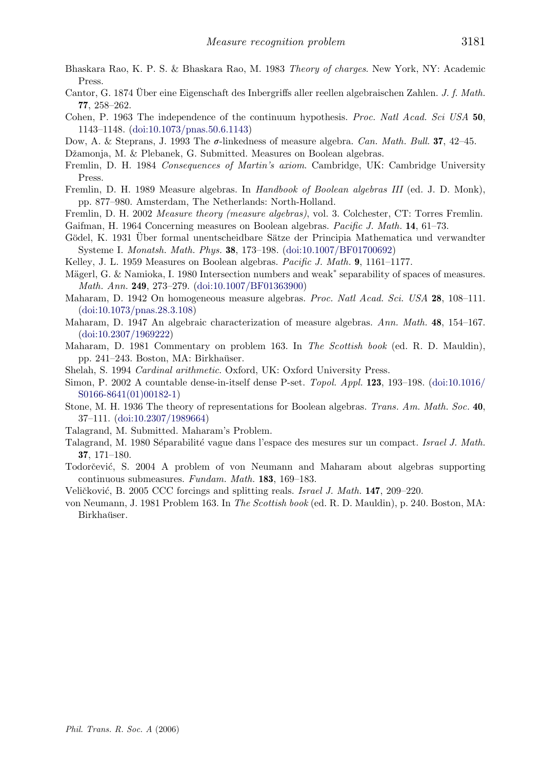- <span id="page-10-0"></span>Bhaskara Rao, K. P. S. & Bhaskara Rao, M. 1983 Theory of charges. New York, NY: Academic Press.
- Cantor, G. 1874 Über eine Eigenschaft des Inbergriffs aller reellen algebraischen Zahlen. J. f. Math. 77, 258–262.
- Cohen, P. 1963 The independence of the continuum hypothesis. Proc. Natl Acad. Sci USA 50, 1143–1148. ([doi:10.1073/pnas.50.6.1143\)](http://dx.doi.org/doi:10.1073/pnas.50.6.1143)
- Dow, A. & Steprans, J. 1993 The  $\sigma$ -linkedness of measure algebra. Can. Math. Bull. 37, 42–45.
- Džamonja, M. & Plebanek, G. Submitted. Measures on Boolean algebras.
- Fremlin, D. H. 1984 Consequences of Martin's axiom. Cambridge, UK: Cambridge University Press.
- Fremlin, D. H. 1989 Measure algebras. In Handbook of Boolean algebras III (ed. J. D. Monk), pp. 877–980. Amsterdam, The Netherlands: North-Holland.
- Fremlin, D. H. 2002 Measure theory (measure algebras), vol. 3. Colchester, CT: Torres Fremlin.
- Gaifman, H. 1964 Concerning measures on Boolean algebras. Pacific J. Math. 14, 61–73.
- Gödel, K. 1931 Über formal unentscheidbare Sätze der Principia Mathematica und verwandter Systeme I. Monatsh. Math. Phys. 38, 173–198. [\(doi:10.1007/BF01700692\)](http://dx.doi.org/doi:10.1007/BF01700692)
- Kelley, J. L. 1959 Measures on Boolean algebras. Pacific J. Math. 9, 1161–1177.
- Mägerl, G. & Namioka, I. 1980 Intersection numbers and weak<sup>\*</sup> separability of spaces of measures. Math. Ann. 249, 273–279. [\(doi:10.1007/BF01363900\)](http://dx.doi.org/doi:10.1007/BF01363900)
- Maharam, D. 1942 On homogeneous measure algebras. Proc. Natl Acad. Sci. USA 28, 108–111. ([doi:10.1073/pnas.28.3.108](http://dx.doi.org/doi:10.1073/pnas.28.3.108))
- Maharam, D. 1947 An algebraic characterization of measure algebras. Ann. Math. 48, 154–167. ([doi:10.2307/1969222](http://dx.doi.org/doi:10.2307/1969222))
- Maharam, D. 1981 Commentary on problem 163. In The Scottish book (ed. R. D. Mauldin), pp. 241–243. Boston, MA: Birkhaüser.
- Shelah, S. 1994 Cardinal arithmetic. Oxford, UK: Oxford University Press.
- Simon, P. 2002 A countable dense-in-itself dense P-set. Topol. Appl. 123, 193–198. [\(doi:10.1016/](http://dx.doi.org/doi:10.1016/S0166-8641(01)00182-1) [S0166-8641\(01\)00182-1\)](http://dx.doi.org/doi:10.1016/S0166-8641(01)00182-1)
- Stone, M. H. 1936 The theory of representations for Boolean algebras. Trans. Am. Math. Soc. 40, 37–111. [\(doi:10.2307/1989664\)](http://dx.doi.org/doi:10.2307/1989664)
- Talagrand, M. Submitted. Maharam's Problem.
- Talagrand, M. 1980 Séparabilité vague dans l'espace des mesures sur un compact. Israel J. Math. 37, 171–180.
- Todorčević, S. 2004 A problem of von Neumann and Maharam about algebras supporting continuous submeasures. Fundam. Math. 183, 169–183.
- Veličković, B. 2005 CCC forcings and splitting reals. Israel J. Math. 147, 209–220.
- von Neumann, J. 1981 Problem 163. In The Scottish book (ed. R. D. Mauldin), p. 240. Boston, MA: Birkhaüser.